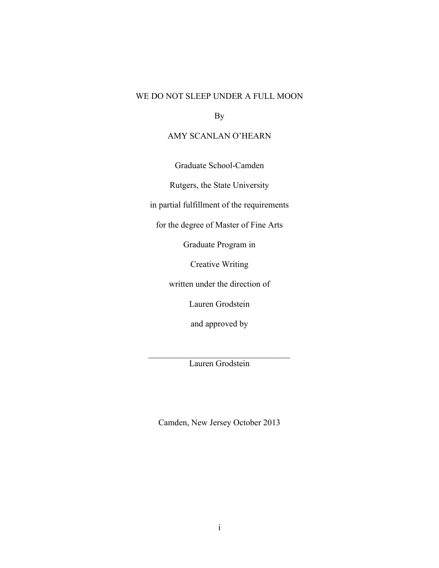# WE DO NOT SLEEP UNDER A FULL MOON

By

## AMY SCANLAN O'HEARN

Graduate School-Camden

Rutgers, the State University

in partial fulfillment of the requirements

for the degree of Master of Fine Arts

Graduate Program in

Creative Writing

written under the direction of

Lauren Grodstein

and approved by

 $\mathcal{L}_\text{max}$  , where  $\mathcal{L}_\text{max}$  is the set of the set of the set of the set of the set of the set of the set of the set of the set of the set of the set of the set of the set of the set of the set of the set of the se Lauren Grodstein

Camden, New Jersey October 2013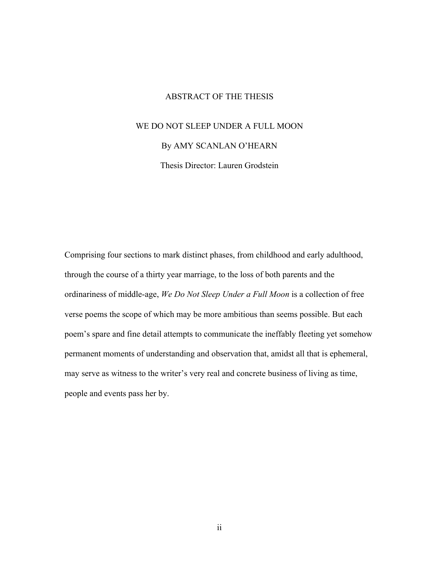### ABSTRACT OF THE THESIS

# WE DO NOT SLEEP UNDER A FULL MOON

### By AMY SCANLAN O'HEARN

Thesis Director: Lauren Grodstein

Comprising four sections to mark distinct phases, from childhood and early adulthood, through the course of a thirty year marriage, to the loss of both parents and the ordinariness of middle-age, *We Do Not Sleep Under a Full Moon* is a collection of free verse poems the scope of which may be more ambitious than seems possible. But each poem's spare and fine detail attempts to communicate the ineffably fleeting yet somehow permanent moments of understanding and observation that, amidst all that is ephemeral, may serve as witness to the writer's very real and concrete business of living as time, people and events pass her by.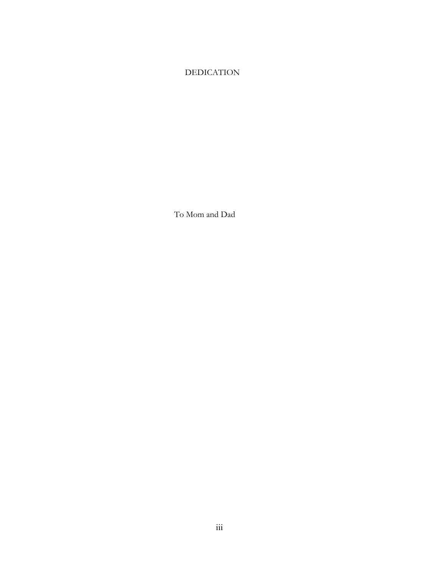# DEDICATION

To Mom and Dad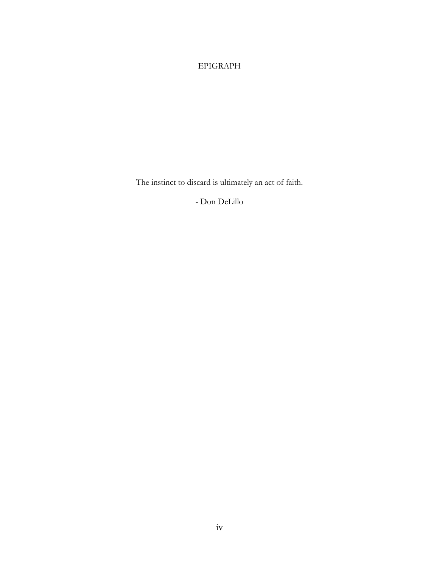# EPIGRAPH

The instinct to discard is ultimately an act of faith.

- Don DeLillo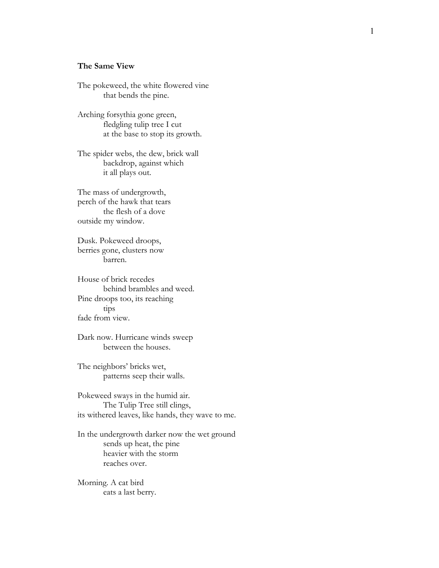#### **The Same Vie w**

The pokeweed, the white flowered vine that bends the pine.

Arching forsythia gone green, fledgling tulip tree I cut at the base to stop its growth.

The spider webs, the dew, brick wall backdrop, against which it all plays out.

The mass of undergrowth, perch of the hawk that tears the flesh of a dove outside my window.

Dusk. Pokeweed droops, berries gone, clusters now barren.

House of brick recedes behind brambles and weed. Pine droops too, its reaching tips fade from view.

Dark now. Hurricane winds sweep between the houses.

The neighbors' bricks wet, patterns seep their walls.

Pokeweed sways in the humid air. The Tulip Tree still clings, its withered leaves, like hands, they wave to me.

In the undergrowth darker now the wet ground sends up heat, the pine heavier with the storm reaches over.

Morning. A cat bird eats a last berry.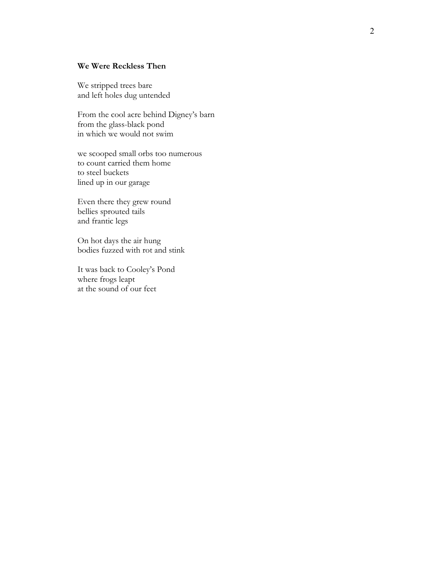### **We Were Reckless Then**

We stripped trees bare and left holes dug untended

From the cool acre behind Digney's barn from the glass -black pond in which we would not swim

we scooped small orbs too numerous to count carried them home to steel buckets lined up in our garage

Even there they grew round bellies sprouted tails and frantic legs

On hot days the air hung bodies fuzzed with rot and stink

It was back to Cooley's Pond where frogs leapt at the sound of our feet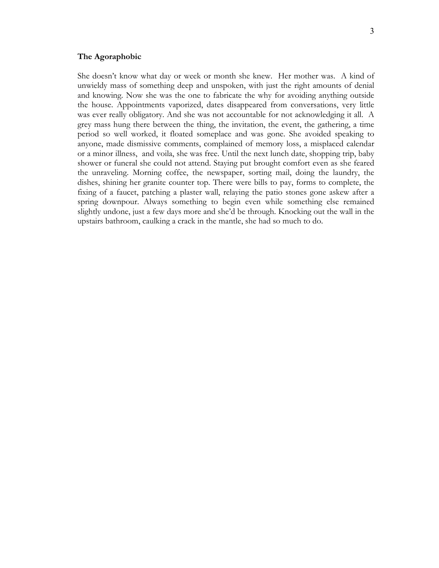#### **The Agoraphobic**

She doesn't know what day or week or month she knew. Her mother was. A kind of unwieldy mass of something deep and unspoken, with just the right amounts of denial and knowing. Now she was the one to fabricate the why for avoiding anything outside the house. Appointments vaporized, dates disappeared from conversations, very little was ever really obligatory. And she was not accountable for not acknowledging it all. A grey mass hung there between the thing, the invitation, the event, the gathering, a time period so well worked, it floated someplace and was gone. She avoided speaking to anyone, made dismissive comments, complained of memory loss, a misplaced calendar or a minor illness, and voila, she was free. Until the next lunch date, shopping trip, baby shower or funeral she could not attend. Staying put brought comfort even as she feared the unraveling. Morning coffee, the newspaper, sorting mail, doing the laundry, the dishes, shining her granite counter top. There were bills to pay, forms to complete, the fixing of a faucet, patching a plaster wall, relaying the patio stones gone askew after a spring downpour. Always something to begin even while something else remained slightly undone, just a few days more and she'd be through. Knocking out the wall in the upstairs bathroom, caulking a crack in the mantle, she had so much to do.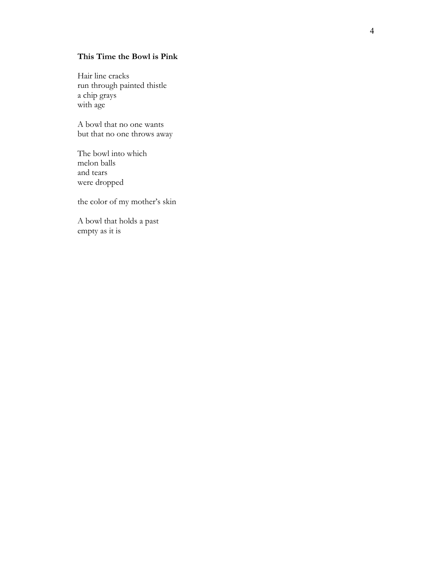### **This Time the Bowl is Pink**

Hair line cracks run through painted thistle a chip grays with age<br>A bowl that no one wants

but that no one throws away

The bowl into which melon balls and tears were dropped

the color of my mother's skin

A bowl that holds a past empty as it is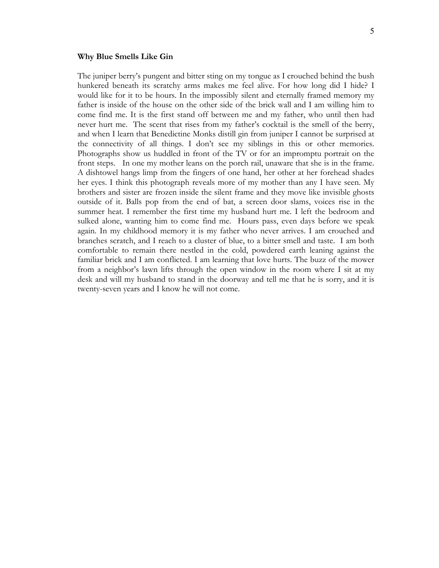#### **Why Blue Smells Like Gin**

The juniper berry's pungent and bitter sting on my tongue as I crouched behind the bush hunkered beneath its scratchy arms makes me feel alive. For how long did I hide? I would like for it to be hours. In the impossibly silent and eternally framed memory my father is inside of the house on the other side of the brick wall and I am willing him to come find me. It is the first stand off between me and my father, who until then had never hurt me. The scent that rises from my father's cocktail is the smell of the berry, and when I learn that Benedictine Monks distill gin from juniper I cannot be surprised at the connectivity of all things. I don't see my siblings in this or other memories. Photographs show us huddled in front of the TV or for an impromptu portrait on the front steps. In one my mother leans on the porch rail, unaware that she is in the frame. A dishtowel hangs limp from the fingers of one hand, her other at her forehead shades her eyes. I think this photograph reveals more of my mother than any I have seen. My brothers and sister are frozen inside the silent frame and they move like invisible ghosts outside of it. Balls pop from the end of bat, a screen door slams, voices rise in the summer heat. I remember the first time my husband hurt me. I left the bedroom and sulked alone, wanting him to come find me. Hours pass, even days before we speak again. In my childhood memory it is my father who never arrives. I am crouched and branches scratch, and I reach to a cluster of blue, to a bitter smell and taste. I am both comfortable to remain there nestled in the cold, powdered earth leaning against the familiar brick and I am conflicted. I am learning that love hurts. The buzz of the mower from a neighbor's lawn lifts through the open window in the room where I sit at my desk and will my husband to stand in the doorway and tell me that he is sorry, and it is twenty-seven years and I know he will not come.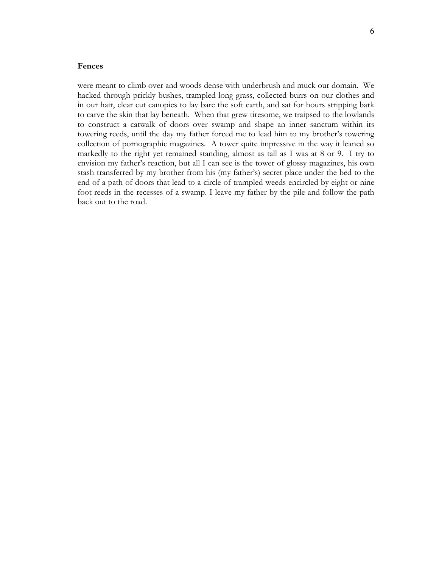#### **Fences**

were meant to climb over and woods dense with underbrush and muck our domain. We hacked through prickly bushes, trampled long grass, collected burrs on our clothes and in our hair, clear cut canopies to lay bare the soft earth, and sat for hours stripping bark to carve the skin that lay beneath. When that grew tiresome, we traipsed to the lowlands to construct a catwalk of doors over swamp and shape an inner sanctum within its towering reeds, until the day my father forced me to lead him to my brother's towering collection of pornographic magazines. A tower quite impressive in the way it leaned so markedly to the right yet remained standing, almost as tall as I was at 8 or 9. I try to envision my father's reaction, but all I can see is the tower of glossy magazines, his own stash transferred by my brother from his (my father's) secret place under the bed to the end of a path of doors that lead to a circle of trampled weeds encircled by eight or nine foot reeds in the recesses of a swamp. I leave my father by the pile and follow the path back out to the road.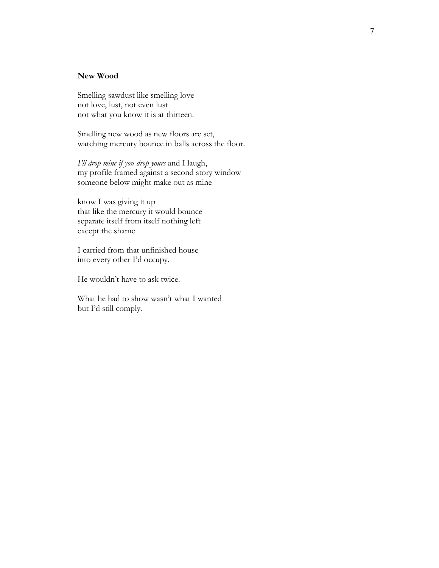### **New Wood**

Smelling sawdust like smelling love not love, lust, not even lust not what you know it is at thirteen.

Smelling new wood as new floors are set, watching mercury bounce in balls across the floor.

*I'll drop mine if you drop yours* and I laugh, my profile framed against a second story window someone below might make out as mine

know I was giving it up that like the mercury it would bounce separate itself from itself nothing left except the shame

I carried from that unfinished house into every other I'd occupy.

He wouldn't have to ask twice.

What he had to show wasn't what I wanted but I'd still comply.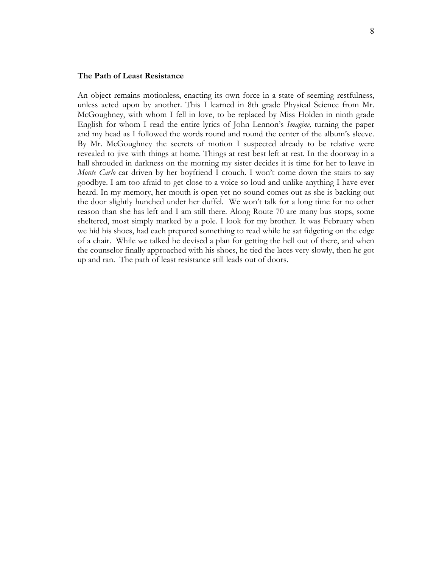#### **The Path of Least Resistance**

An object remains motionless, enacting its own force in a state of seeming restfulness, unless acted upon by another. This I learned in 8th grade Physical Science from Mr. McGoughney, with whom I fell in love, to be replaced by Miss Holden in ninth grade English for whom I read the entire lyrics of John Lennon's *Imagine,* turning the paper and my head as I followed the words round and round the center of the album's sleeve. By Mr. McGoughney the secrets of motion I suspected already to be relative were revealed to jive with things at home. Things at rest best left at rest. In the doorway in a hall shrouded in darkness on the morning my sister decides it is time for her to leave in *Monte Carlo* car driven by her boyfriend I crouch. I won't come down the stairs to say goodbye. I am too afraid to get close to a voice so loud and unlike anything I have ever heard. In my memory, her mouth is open yet no sound comes out as she is backing out the door slightly hunched under her duffel. We won't talk for a long time for no other reason than she has left and I am still there. Along Route 70 are many bus stops, some sheltered, most simply marked by a pole. I look for my brother. It was February when we hid his shoes, had each prepared something to read while he sat fidgeting on the edge of a chair. While we talked he devised a plan for getting the hell out of there, and when the counselor finally approached with his shoes, he tied the laces very slowly, then he got up and ran. The path of least resistance still leads out of doors.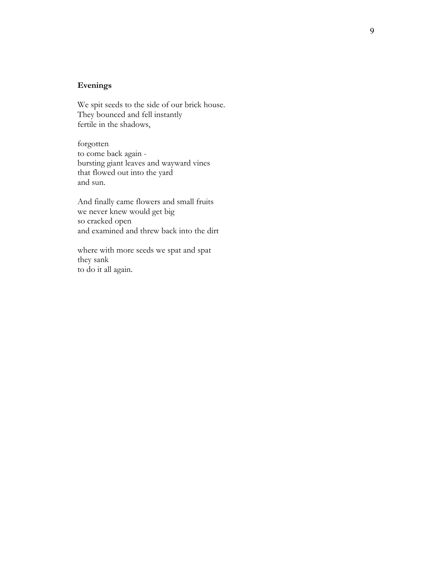#### **Evening s**

We spit seeds to the side of our brick house . They bounced and fell instantly fertile in the shadows, forgotten

to come back again bursting giant leaves and wayward vines that flowed out into the yard and sun.

And finally came flowers and small fruits we never knew would get big so cracked open and examined and threw back into the dirt

where with more seeds we spat and spat they sank to do it all again.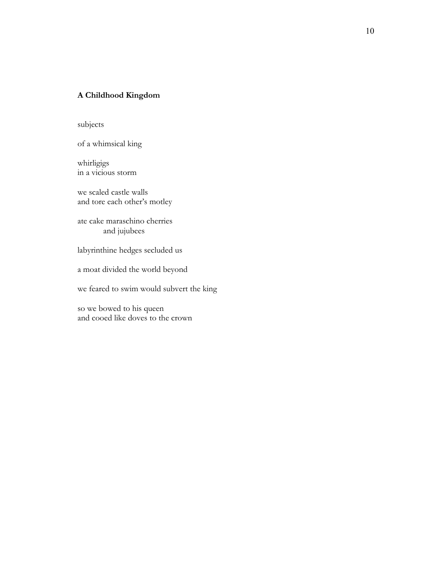### **A Childhood Kingdom**

subjects

of a whimsical king

whirligigs in a vicious storm

we scaled castle walls and tore each other's motley

ate cake maraschino cherries and jujubees

labyrinthine hedges secluded us

a moat divided the world beyond

we feared to swim would subvert the king

so we bowed to his queen and cooed like doves to the crown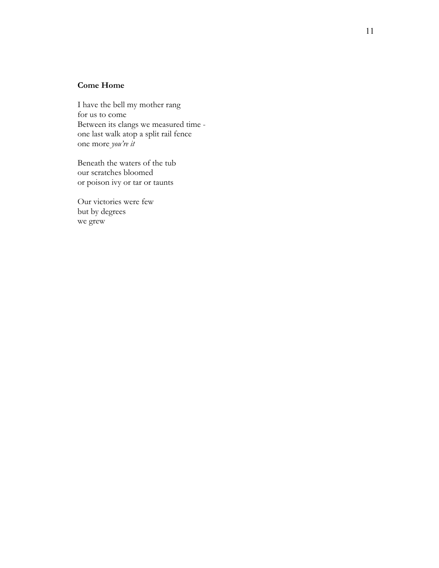## **Come Home**

I have the bell my mother rang for us to come Between its clangs we measured time one last walk atop a split rail fence one more *you're it*

Beneath the waters of the tub our scratches bloomed or poison ivy or tar or taunts

Our victories were few but by degrees we grew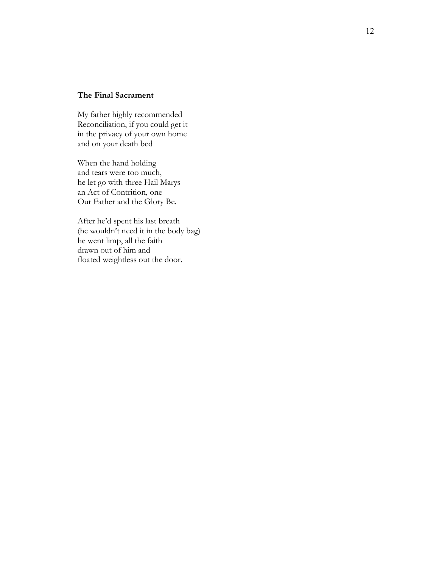### **The Final Sacrament**

My father highly recommended Reconciliation , if you could get it in the privacy of your own home and on your death bed

When the hand holding and tears were too much , he let go with three Hail Marys an Act of Contrition, one Our Father and the Glory Be .

After he'd spent his last breath (he wouldn't need it in the body bag) he went limp, all the faith drawn out of him and floated weightless out the door.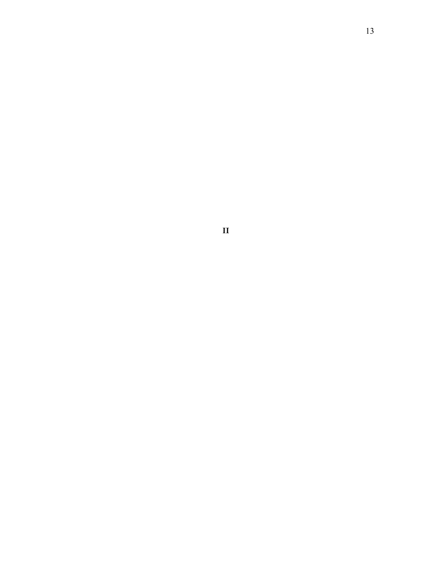**II**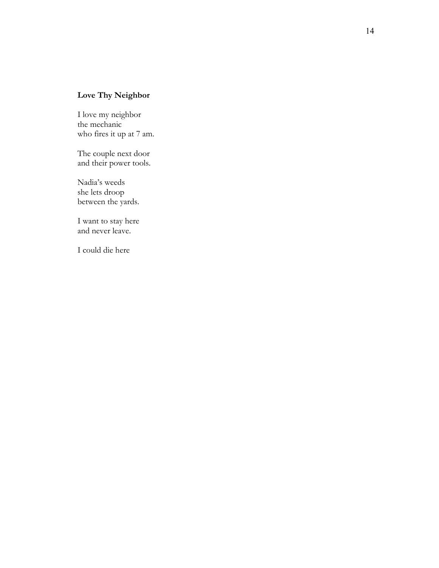# **Love Thy Neighbor**

I love my neighbor the mechanic who fires it up at 7 am.

The couple next door and their power tools .

Nadia's weeds she lets droop between the yards.

I want to stay here and never leave.

I could die here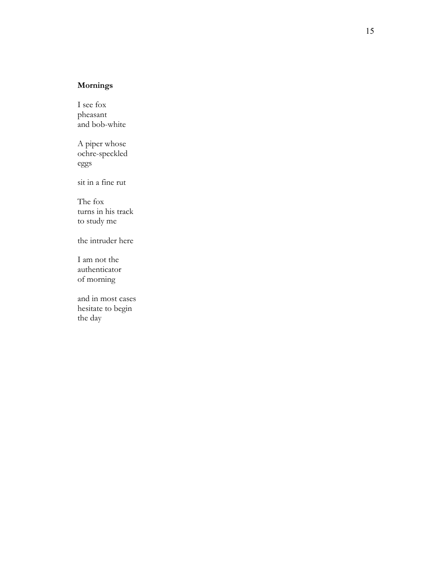# **Mornings**

I see fox pheasant and bob-white

A piper whose ochre-speckled eggs sit in a fine rut

The fox turns in his track to study me

the intruder here

I am not the authenticator of morning

and in most cases hesitate to begin the day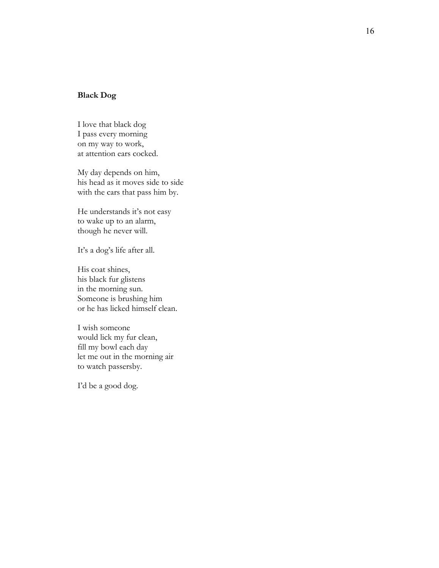### **Black Dog**

I love that black dog I pass every morning on my way to work, at attention ears cocked.

My day depends on him, his head as it moves side to side with the cars that pass him by.

He understands it's not easy to wake up to an alarm, though he never will.

It's a dog's life after all.

His coat shines, his black fur glistens in the morning sun. Someone is brushing him or he has licked himself clean.

I wish someone would lick my fur clean, fill my bowl each day let me out in the morning air to watch passersby.

I'd be a good dog.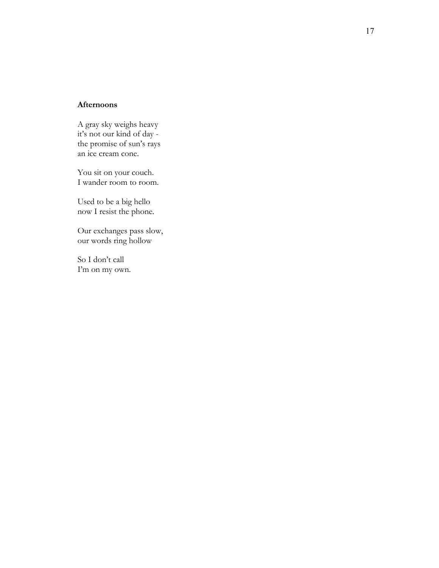#### **Afternoon s**

A gray sky weighs heavy it's not our kind of day the promise of sun's rays an ice cream cone.

You sit on your couch. I wander room to room.

Used to be a big hello now I resist the phone .

Our exchanges pass slow , our words ring hollow

So I don't call I'm on my own.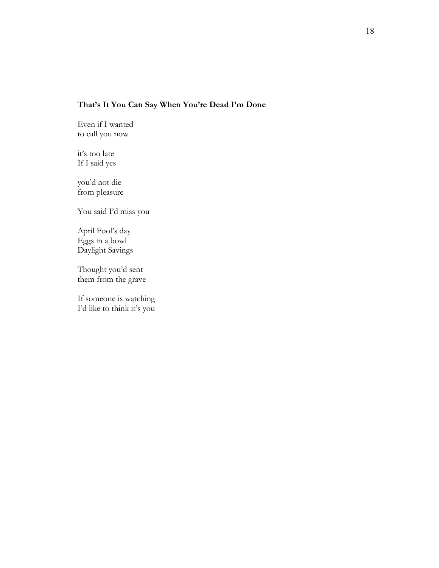# **That's It You Can Say When You're Dead I'm Done**

Even if I wanted to call you now

it's too late If I said yes

you'd not die from pleasure

You said I'd miss you

April Fool's day Eggs in a bowl Daylight Savings

Thought you'd sent them from the grave

If someone is watching I'd like to think it's you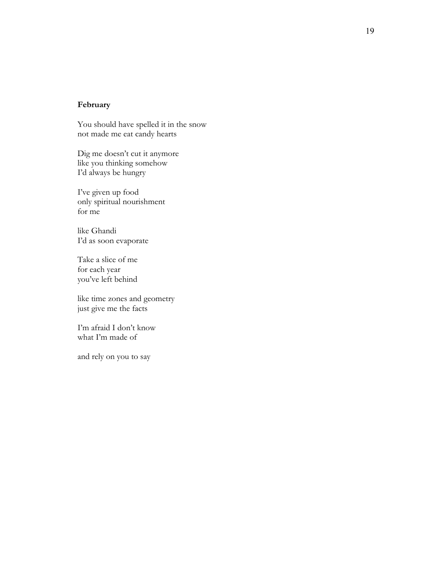### **February**

You should have spelled it in the snow not made me eat candy hearts

Dig me doesn't cut it anymore like you thinking somehow I'd always be hungry

I've given up food only spiritual nourishment for me

like Ghandi I'd as soon evaporate

Take a slice of me for each year you've left behind

like time zones and geometry just give me the facts

I'm afraid I don't know what I'm made of

and rely on you to say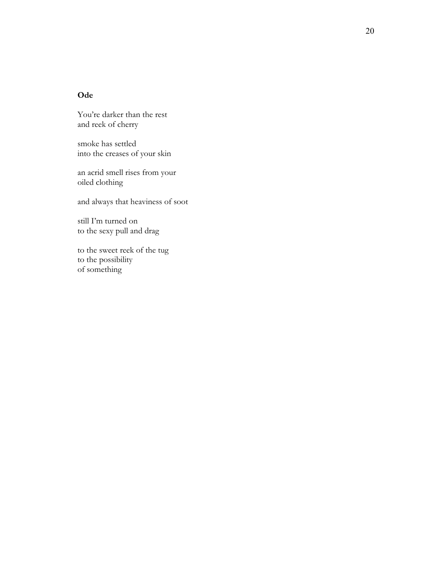### **Ode**

You're darker than the rest and reek of cherry

smoke has settled into the creases of your skin

an acrid smell rises from your oiled clothing

and always that heaviness of soot

still I'm turned on<br>to the sexy pull and drag

to the sweet reek of the tug<br>to the possibility of something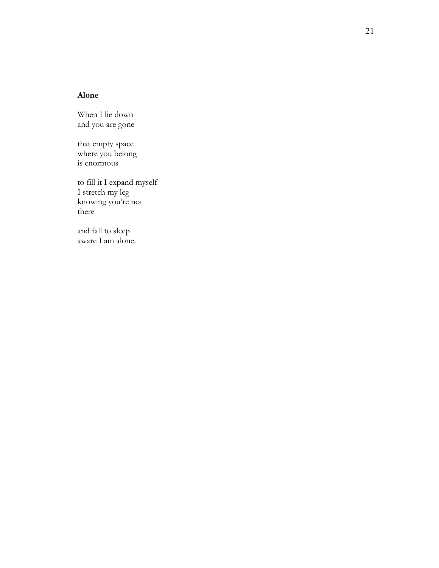### **Alone**

When I lie down and you are gone

that empty space where you belong is enormous

to fill it I expand myself I stretch my leg knowing you're not there

and fall to sleep aware I am alone .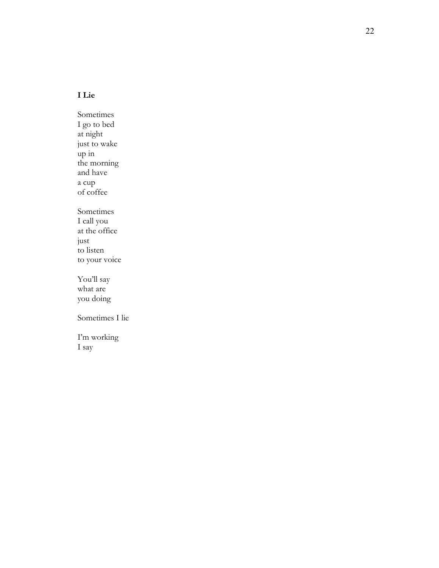## **I Lie**

Sometimes I go to bed at night up in<br>the morning<br>and have a cup<br>of coffee Sometimes<br>I call you at the office<br>just to listen<br>to your voice You'll say

what are you doing

Sometimes I lie

I'm working I say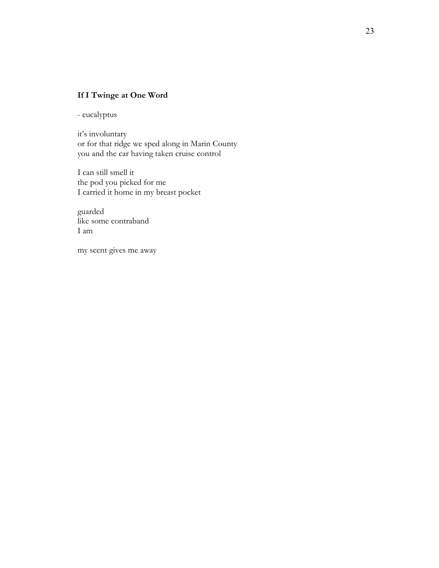# **If I Twinge at One Word**

- eucalyptus

it's involuntary or for that ridge we sped along in Marin County you and the car having taken cruise control

I can still smell it the pod you picked for me I carried it home in my breast pocket

guarded like some contraband I am

my scent gives me away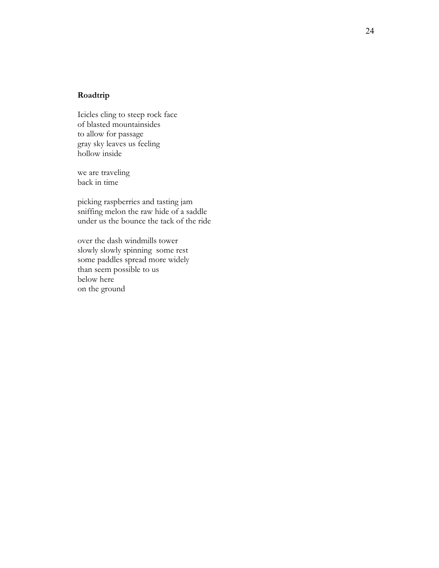### **Roadtrip**

Icicles cling to steep rock face of blasted mountainside s to allow for passage gray sky leaves us feeling hollow inside

we are traveling back in time

picking raspberries and tasting jam sniffing melon the raw hide of a saddle under us the bounce the tack of the ride

over the dash windmills tower slowly slowly spinning some rest some paddles spread more widely than seem possible to us below here on the ground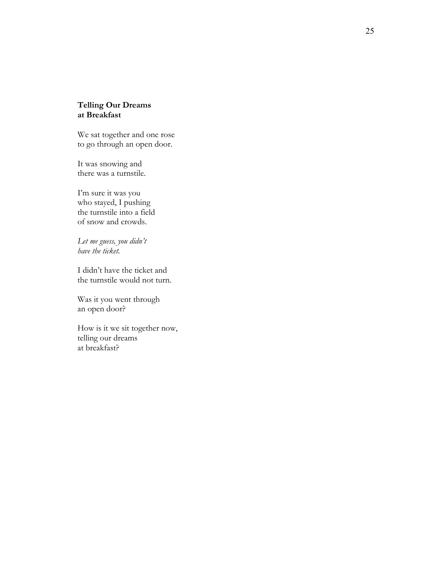### **Telling Our Dreams at Breakfast**

We sat together and one rose to go through an open door .

It was snowing and there was a turnstile.

I'm sure it was you who stayed, I pushing the turnstile i nto a field of snow and crowds.

*Let me guess, you didn't have the ticket.* 

I didn't have the ticket and the turnstile would not turn.

Was it you went through an open door ?

How is it we sit together now, telling our dreams at breakfast?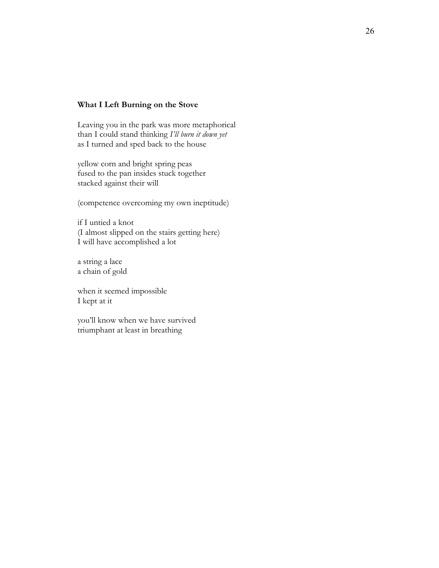#### **What I Left Burning on the Stove**

Leaving you in the park was more metaphorical than I could stand thinking *I'll burn it down yet* as I turned and sped back to the house

yellow corn and bright spring peas fused to the pan insides stuck together stacked against their will

(competence overcoming my own ineptitude)

if I untied a knot (I almost slipped on the stairs getting here) I will have accomplished a lot

a string a lace a chain of gold

when it seemed impossible I kept at it

you'll know when we have survived triumphant at least in breathing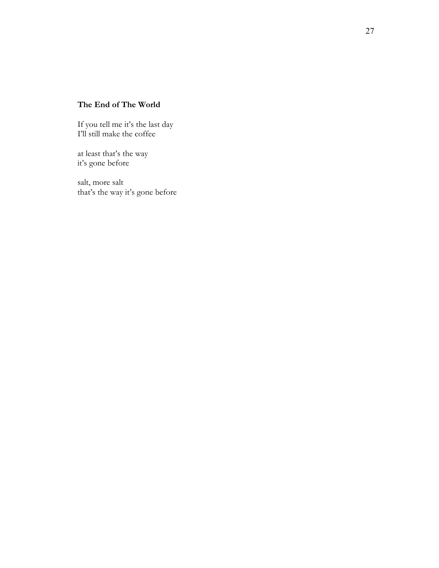# **The End of The World**

If you tell me it's the last day I'll still make the coffee

at least that's the way it's gone before

salt, more salt that's the way it's gone before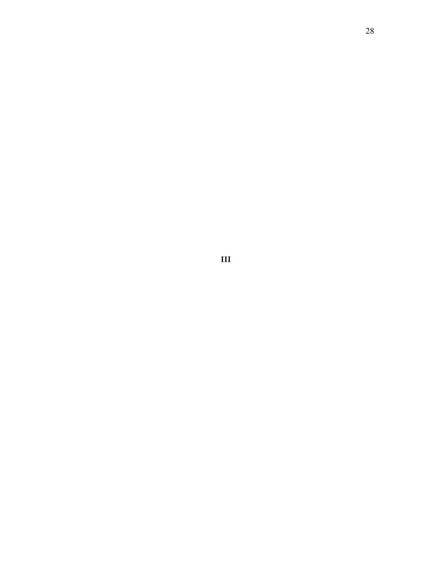**III**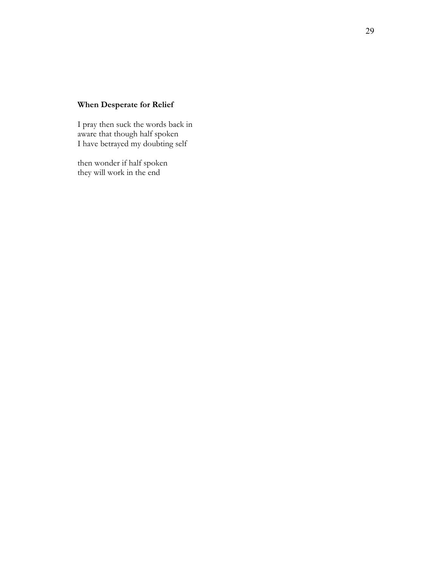# **When Desperate for Relief**

I pray then suck the words back in aware that though half spoken I have betrayed my doubting self

then wonder if half spoken they will work in the end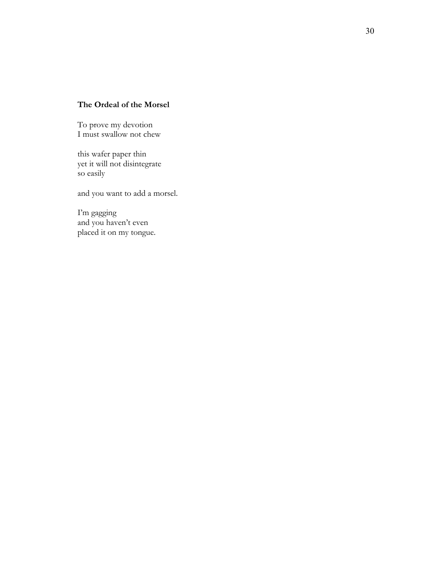### **The Ordeal of the Morsel**

To prove my devotion I must swallow not chew

this wafer paper thin yet it will not disintegrate so easily

and you want to add a morsel.

I'm gagging and you haven't even placed it on my tongue.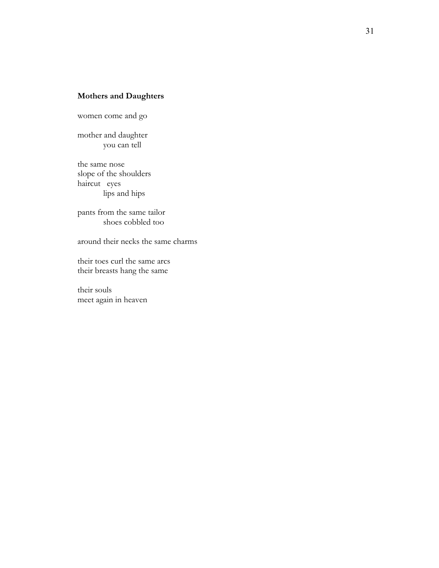### **Mothers and Daughters**

women come and go

mother and daughter you can tell

the same nose slope of the shoulders haircut eyes lips and hips

pants from the same tailor shoes cobbled too

around their necks the same charms

their toes curl the same arcs their breasts hang the same

their souls meet again in heaven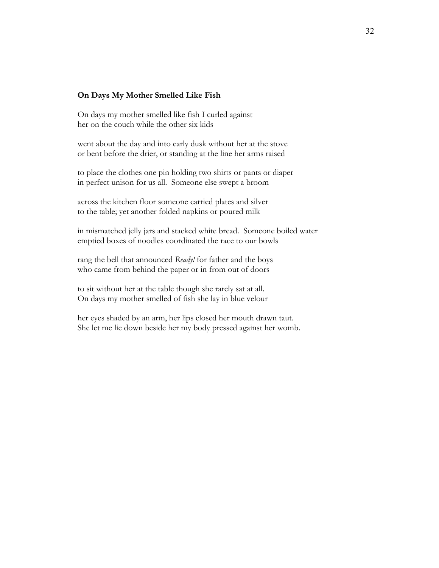#### **On Days My Mother Smelled Like Fish**

On days my mother smelled like fish I curled against her on the couch while the other six kids

went about the day and into early dusk without her at the stove or bent before the drier, or standing at the line her arms raised

to place the clothes one pin holding two shirts or pants or diaper in perfect unison for us all. Someone else swept a broom

across the kitchen floor someone carried plates and silver to the table; yet another folded napkins or poured milk

in mismatched jelly jars and stacked white bread. Someone boiled water emptied boxes of noodles coordinated the race to our bowls

rang the bell that announced *Ready!* for father and the boys who came from behind the paper or in from out of doors

to sit without her at the table though she rarely sat at all. On days my mother smelled of fish she lay in blue velour

her eyes shaded by an arm, her lips closed her mouth drawn taut. She let me lie down beside her my body pressed against her womb.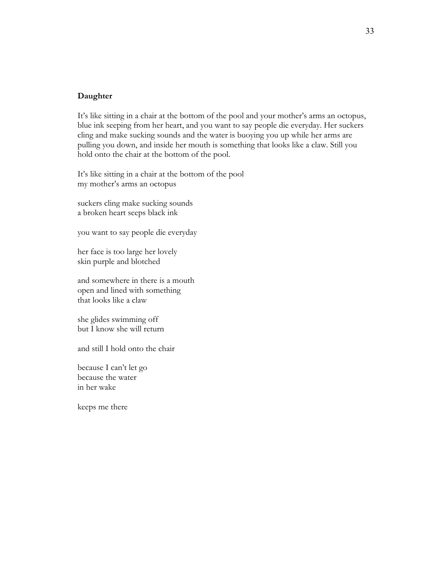#### **Daughter**

It's like sitting in a chair at the bottom of the pool and your mother's arms an octopus, blue ink seeping from her heart, and you want to say people die everyday. Her suckers cling and make sucking sounds and the water is buoying you up while her arms are pulling you down, and inside her mouth is something that looks like a claw. Still you hold onto the chair at the bottom of the pool.

It's like sitting in a chair at the bottom of the pool my mother's arms an octopus

suckers cling make sucking sounds a broken heart seeps black ink

you want to say people die everyday

her face is too large her lovely skin purple and blotched

and somewhere in there is a mouth open and lined with something that looks like a claw

she glides swimming off but I know she will return

and still I hold onto the chair

because I can't let go because the water in her wake

keeps me there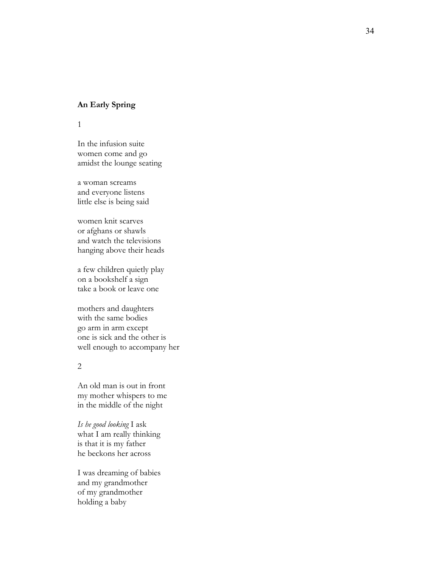#### **An Early Spring**

1

In the infusion suite women come and go amidst the lounge seating

a woman screams and everyone listens little else is being said

women knit scarves or afghans or shawls and watch the televisions hanging above their heads

a few children quietly play on a bookshelf a sign take a book or leave one

mothers and daughters with the same bodies go arm in arm except one is sick and the other is well enough to accompany her

#### 2

An old man is out in front my mother whispers to me in the middle of the night

*Is he good looking* I ask what I am really thinking is that it is my father he beckons her acros s

I was dreaming of babies and my grandmother of my grandmother holding a baby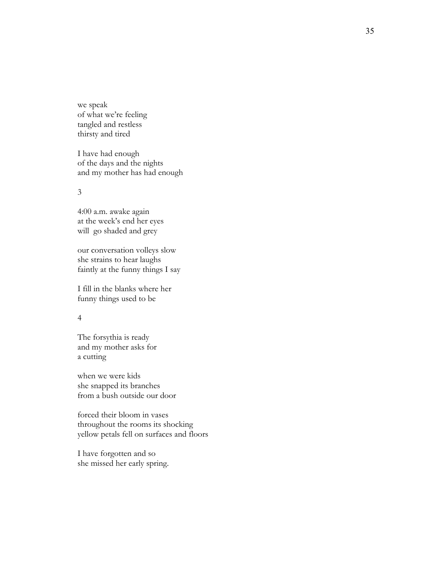we speak of what we're feeling tangled and restless thirsty and tired

I have had enough of the days and the nights and my mother has had enough

#### 3

4:00 a.m. awake again at the week's end her eyes will go shaded and grey

our conversation volleys slow she strains to hear laughs faintly at the funny things I say

I fill in the blanks where her funny things used to be

#### 4

The forsythia is ready and my mother asks fo r a cutting when we were kids

she snapped its branches from a bush outside our door

forced their bloom in vases throughout the rooms its shocking yellow petals fell on surfaces and floors

I have forgotten and so she missed her early spring.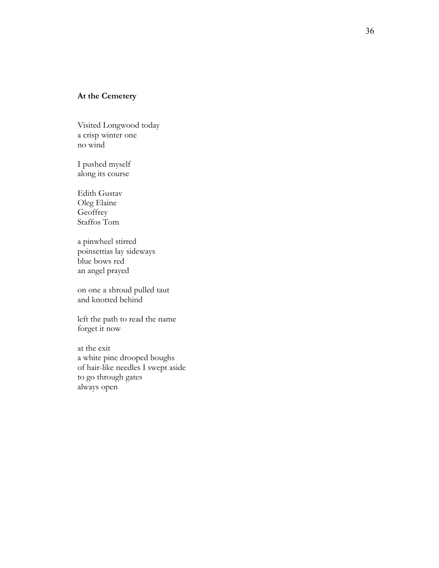### **At the Cemetery**

Visited Longwood today a crisp winter one no wind

I pushed myself along its course

Edith Gustav Oleg Elaine **Geoffrey** Staffos Tom

a pinwheel stirred poinsettias lay sideways blue bows red an angel prayed

on one a shroud pulled taut and knotted behind

left the path to read the name forget it now

at the exit a white pine drooped boughs of hair-like needles I swept aside to go through gates always open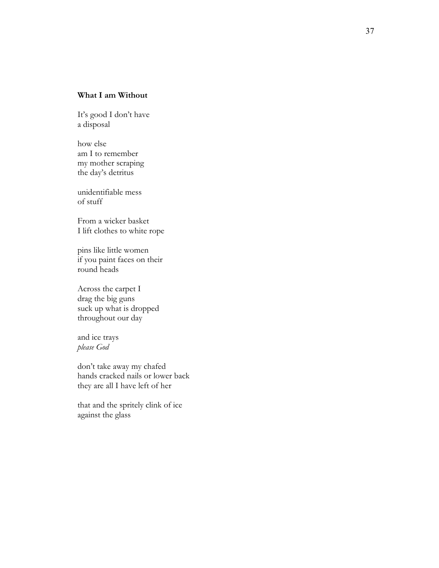### **What I am Without**

It's good I don't have a disposal

how else am I to remember my mother scraping the day's detritus

unidentifiable mess of stuff

From a wicker basket I lift clothes to white rope

pins like little women if you paint faces on their round heads

Across the carpet I drag the big guns suck up what is dropped throughout our day

and ice trays *please God*

don't take away my chafed hands cracked nails or lower back they are all I have left of her

that and the spritely clink of ice against the glass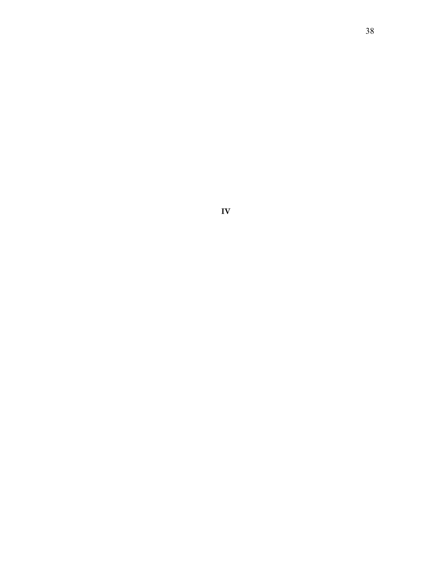38

**IV**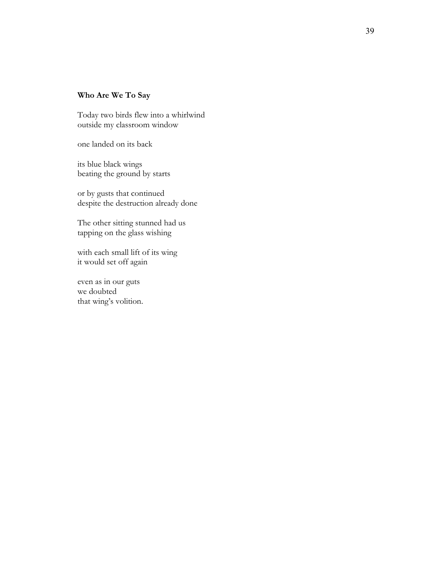### **Who Are We To Say**

Today two birds flew into a whirlwind outside my classroom window

one landed on its back

its blue black wings beating the ground by starts

or by gusts that continued despite the destruction already done

The other sitting stunned had us tapping on the glass wishing

with each small lift of its wing it would set off again

even as in our guts we doubted that wing's volition.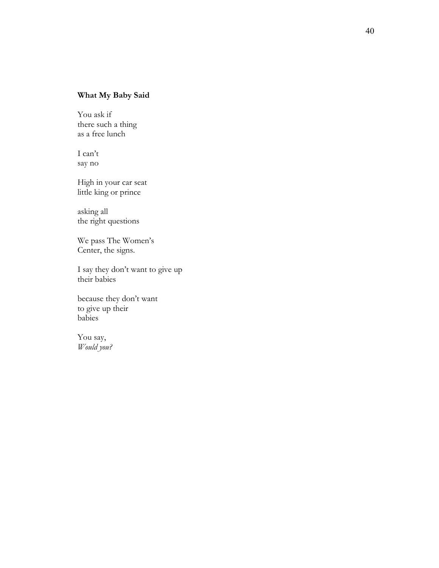# **What My Baby Said**

You ask if there such a thing as a free lunch

I can't say no

High in your car seat little king or prince

asking all the right questions

We pass The Women's Center, the signs.

I say they don't want to give up their babies

because they don't want to give up their babies

You say, *Would you?*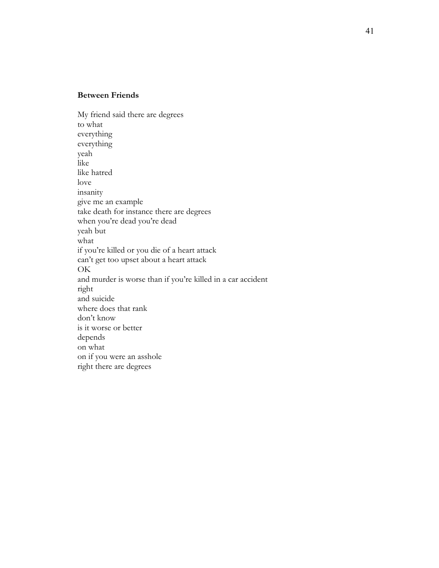### **Between Friends**

My friend said there are degrees to what everything everything yeah like like hatred love insanity give me an example take death for instance there are degrees when you're dead you're dead yeah but what if you're killed or you die of a heart attack can't get too upset about a heart attack OK and murder is worse than if you're killed in a car accident right and suicide where does that rank don't know is it worse or better depends on what on if you were an asshole right there are degrees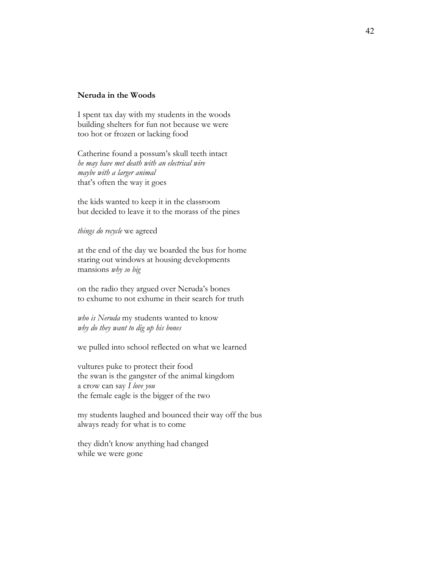#### **Neruda in the Woods**

I spent tax day with my students in the woods building shelters for fun not because we were too hot or frozen or lacking food

Catherine found a possum's skull teeth intact *he may have met death with an electrical wire maybe with a larger animal* that's often the way it goes

the kids wanted to keep it in the classroom but decided to leave it to the morass of the pines

*things do recycle* we agreed

at the end of the day we boarded the bus for home staring out windows at housing developments mansions *why so big*

on the radio they argued over Neruda's bones to exhume to not exhume in their search for truth

*who is Neruda* my students wanted to know *why do they want to dig up his bones*

we pulled into school reflected on what we learned

vultures puke to protect their food the swan is the gangster of the animal kingdom a crow can say *I love you* the female eagle is the bigger of the two

my students laughed and bounced their way off the bus always ready for what is to come

they didn't know anything had changed while we were gone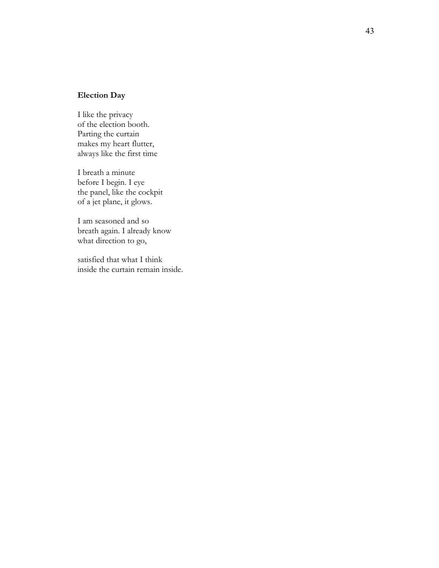### **Election Day**

I like the privacy of the election booth. Parting the curtain makes my heart flutter, always like the first time

I breath a minute before I begin. I eye the panel, like the cockpit of a jet plane, it glows.

I am seasoned and so breath again. I already know what direction to go,

satisfied that what I think inside the curtain remain inside.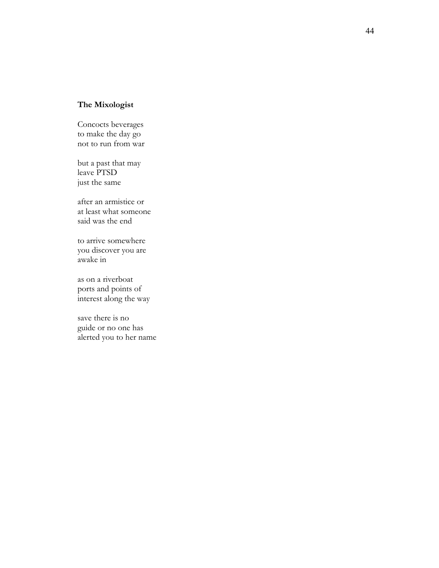# **The Mixologist**

Concocts beverages to make the day go not to run from war

but a past that may leave PTSD just the same

after an armistice or at least what someone said was the end

to arrive somewhere you discover you are awake in

as on a riverboat ports and points of interest along the way

save there is no guide or no one has alerted you to her name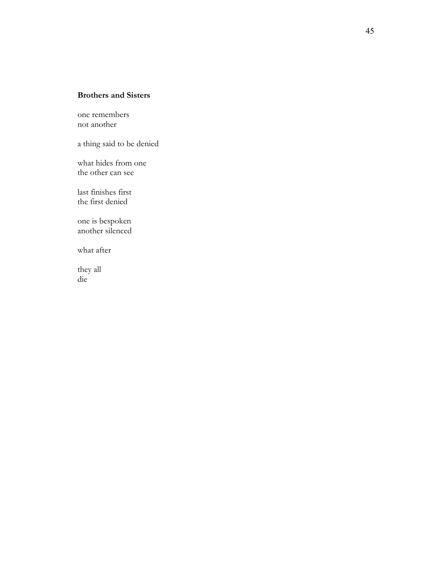## **Brothers and Sisters**

one remembers not another

a thing said to be denied

what hides from one the other can see

last finishes first the first denied

one is bespoken another silenced

what after

they all die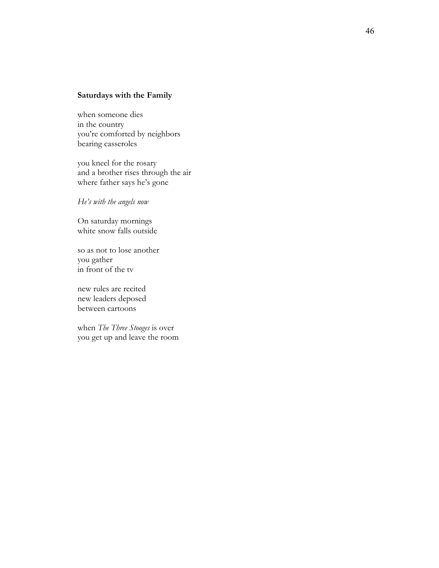#### **Saturdays with the Family**

when someone dies in the country you're comforted by neighbors bearing casseroles

you kneel for the rosary and a brother rises through the air where father says he's gone

*He's with the angels now*

On saturday mornings white snow falls outside

so as not to lose another you gather in front of the tv

new rules are recited new leaders deposed between cartoons

when *The Three Stooges* is over you get up and leave the room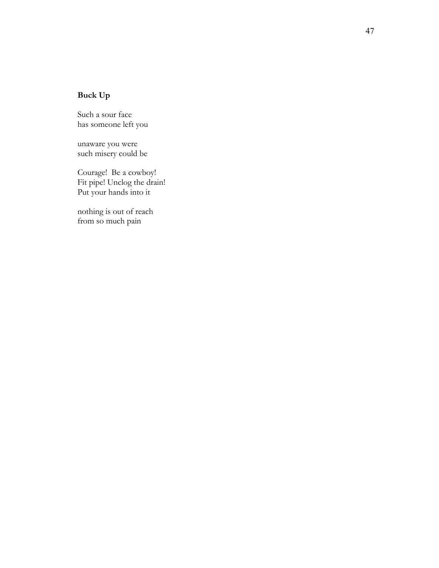# **Buck Up**

Such a sour face has someone left you

unaware you were such misery could be

Courage! Be a cowboy! Fit pipe! Unclog the drain! Put your hands into it

nothing is out of reach from so much pain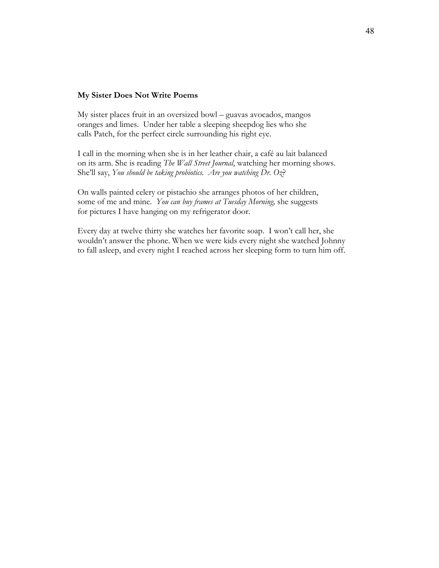#### **My Sister Does Not Write Poems**

My sister places fruit in an oversized bowl – guavas avocados, mangos oranges and limes. Under her table a sleeping sheepdog lies who she calls Patch, for the perfect circle surrounding his right eye.

I call in the morning when she is in her leather chair, a café au lait balanced on its arm. She is reading *The Wall Street Journal*, watching her morning shows. She'll say, *You should be taking probiotics. Are you watching Dr. Oz*?

On walls painted celery or pistachio she arranges photos of her children, some of me and mine. *You can buy frames at Tuesday Morning,* she suggests for pictures I have hanging on my refrigerator door.

Every day at twelve thirty she watches her favorite soap. I won't call her, she wouldn't answer the phone. When we were kids every night she watched Johnny to fall asleep, and every night I reached across her sleeping form to turn him off.